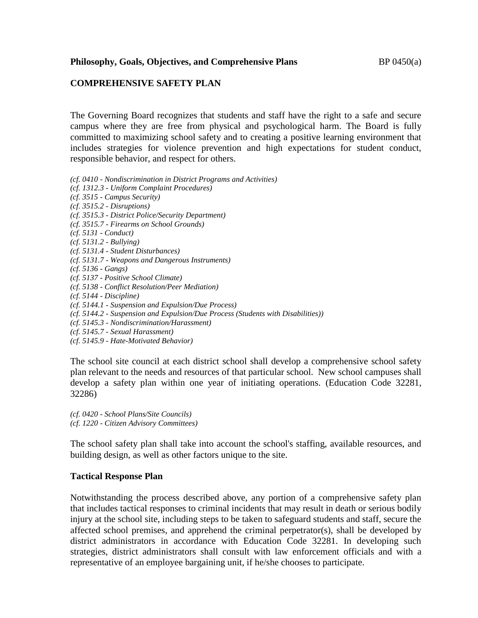#### **Philosophy, Goals, Objectives, and Comprehensive Plans** BP 0450(a)

#### **COMPREHENSIVE SAFETY PLAN**

The Governing Board recognizes that students and staff have the right to a safe and secure campus where they are free from physical and psychological harm. The Board is fully committed to maximizing school safety and to creating a positive learning environment that includes strategies for violence prevention and high expectations for student conduct, responsible behavior, and respect for others.

*(cf. 0410 - Nondiscrimination in District Programs and Activities)*

*(cf. 1312.3 - Uniform Complaint Procedures)*

*(cf. 3515 - Campus Security)*

*(cf. 3515.2 - Disruptions)*

*(cf. 3515.3 - District Police/Security Department)*

*(cf. 3515.7 - Firearms on School Grounds)*

- *(cf. 5131 - Conduct)*
- *(cf. 5131.2 - Bullying)*

*(cf. 5131.4 - Student Disturbances)*

- *(cf. 5131.7 - Weapons and Dangerous Instruments)*
- *(cf. 5136 - Gangs)*
- *(cf. 5137 - Positive School Climate)*

*(cf. 5138 - Conflict Resolution/Peer Mediation)*

- *(cf. 5144 - Discipline)*
- *(cf. 5144.1 - Suspension and Expulsion/Due Process)*
- *(cf. 5144.2 - Suspension and Expulsion/Due Process (Students with Disabilities))*
- *(cf. 5145.3 - Nondiscrimination/Harassment)*
- *(cf. 5145.7 - Sexual Harassment)*
- *(cf. 5145.9 - Hate-Motivated Behavior)*

The school site council at each district school shall develop a comprehensive school safety plan relevant to the needs and resources of that particular school. New school campuses shall develop a safety plan within one year of initiating operations. (Education Code 32281, 32286)

*(cf. 0420 - School Plans/Site Councils) (cf. 1220 - Citizen Advisory Committees)*

The school safety plan shall take into account the school's staffing, available resources, and building design, as well as other factors unique to the site.

#### **Tactical Response Plan**

Notwithstanding the process described above, any portion of a comprehensive safety plan that includes tactical responses to criminal incidents that may result in death or serious bodily injury at the school site, including steps to be taken to safeguard students and staff, secure the affected school premises, and apprehend the criminal perpetrator(s), shall be developed by district administrators in accordance with Education Code 32281. In developing such strategies, district administrators shall consult with law enforcement officials and with a representative of an employee bargaining unit, if he/she chooses to participate.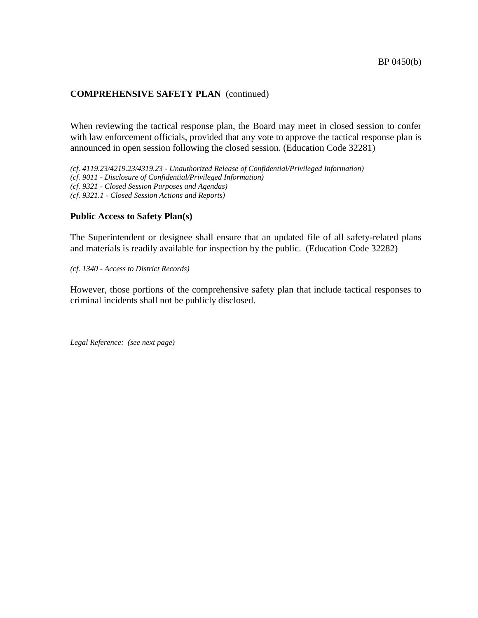When reviewing the tactical response plan, the Board may meet in closed session to confer with law enforcement officials, provided that any vote to approve the tactical response plan is announced in open session following the closed session. (Education Code 32281)

*(cf. 4119.23/4219.23/4319.23 - Unauthorized Release of Confidential/Privileged Information) (cf. 9011 - Disclosure of Confidential/Privileged Information) (cf. 9321 - Closed Session Purposes and Agendas) (cf. 9321.1 - Closed Session Actions and Reports)*

#### **Public Access to Safety Plan(s)**

The Superintendent or designee shall ensure that an updated file of all safety-related plans and materials is readily available for inspection by the public. (Education Code 32282)

*(cf. 1340 - Access to District Records)*

However, those portions of the comprehensive safety plan that include tactical responses to criminal incidents shall not be publicly disclosed.

*Legal Reference: (see next page)*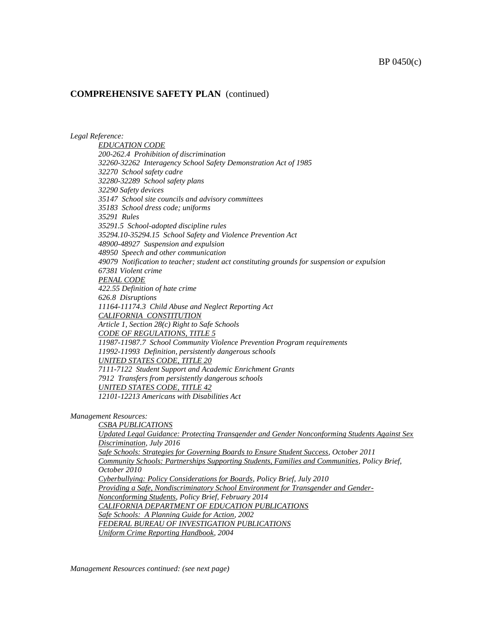*Legal Reference:*

*EDUCATION CODE 200-262.4 Prohibition of discrimination 32260-32262 Interagency School Safety Demonstration Act of 1985 32270 School safety cadre 32280-32289 School safety plans 32290 Safety devices 35147 School site councils and advisory committees 35183 School dress code; uniforms 35291 Rules 35291.5 School-adopted discipline rules 35294.10-35294.15 School Safety and Violence Prevention Act 48900-48927 Suspension and expulsion 48950 Speech and other communication 49079 Notification to teacher; student act constituting grounds for suspension or expulsion 67381 Violent crime PENAL CODE 422.55 Definition of hate crime 626.8 Disruptions 11164-11174.3 Child Abuse and Neglect Reporting Act CALIFORNIA CONSTITUTION Article 1, Section 28(c) Right to Safe Schools CODE OF REGULATIONS, TITLE 5 11987-11987.7 School Community Violence Prevention Program requirements 11992-11993 Definition, persistently dangerous schools UNITED STATES CODE, TITLE 20 7111-7122 Student Support and Academic Enrichment Grants 7912 Transfers from persistently dangerous schools UNITED STATES CODE, TITLE 42 12101-12213 Americans with Disabilities Act*

#### *Management Resources:*

*CSBA PUBLICATIONS Updated Legal Guidance: Protecting Transgender and Gender Nonconforming Students Against Sex Discrimination, July 2016 Safe Schools: Strategies for Governing Boards to Ensure Student Success, October 2011 Community Schools: Partnerships Supporting Students, Families and Communities, Policy Brief, October 2010 Cyberbullying: Policy Considerations for Boards, Policy Brief, July 2010 Providing a Safe, Nondiscriminatory School Environment for Transgender and Gender-Nonconforming Students, Policy Brief, February 2014 CALIFORNIA DEPARTMENT OF EDUCATION PUBLICATIONS Safe Schools: A Planning Guide for Action, 2002 FEDERAL BUREAU OF INVESTIGATION PUBLICATIONS Uniform Crime Reporting Handbook, 2004*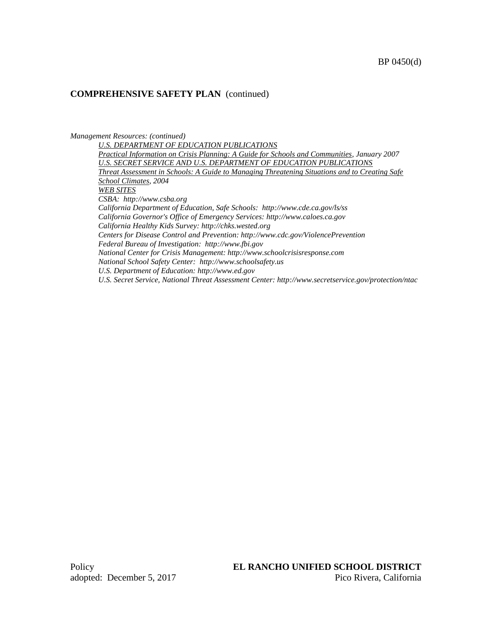*Management Resources: (continued)*

*U.S. DEPARTMENT OF EDUCATION PUBLICATIONS Practical Information on Crisis Planning: A Guide for Schools and Communities, January 2007 U.S. SECRET SERVICE AND U.S. DEPARTMENT OF EDUCATION PUBLICATIONS Threat Assessment in Schools: A Guide to Managing Threatening Situations and to Creating Safe School Climates, 2004 WEB SITES CSBA: http://www.csba.org California Department of Education, Safe Schools: http://www.cde.ca.gov/ls/ss California Governor's Office of Emergency Services: http://www.caloes.ca.gov California Healthy Kids Survey: http://chks.wested.org Centers for Disease Control and Prevention: http://www.cdc.gov/ViolencePrevention Federal Bureau of Investigation: http://www.fbi.gov National Center for Crisis Management: http://www.schoolcrisisresponse.com National School Safety Center: http://www.schoolsafety.us U.S. Department of Education: http://www.ed.gov U.S. Secret Service, National Threat Assessment Center: http://www.secretservice.gov/protection/ntac*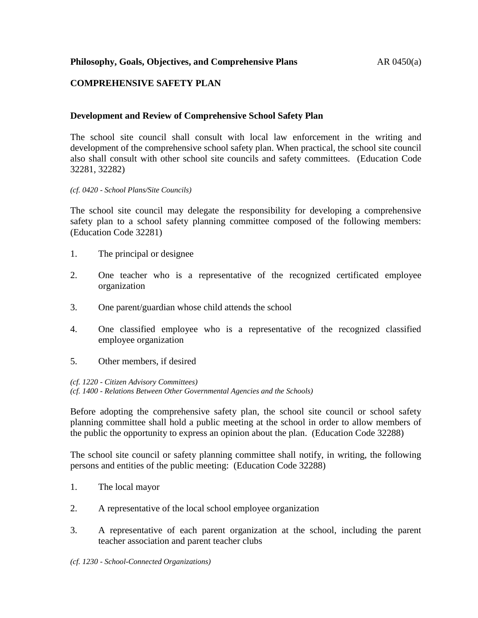## **Philosophy, Goals, Objectives, and Comprehensive Plans** AR 0450(a)

## **COMPREHENSIVE SAFETY PLAN**

### **Development and Review of Comprehensive School Safety Plan**

The school site council shall consult with local law enforcement in the writing and development of the comprehensive school safety plan. When practical, the school site council also shall consult with other school site councils and safety committees. (Education Code 32281, 32282)

#### *(cf. 0420 - School Plans/Site Councils)*

The school site council may delegate the responsibility for developing a comprehensive safety plan to a school safety planning committee composed of the following members: (Education Code 32281)

- 1. The principal or designee
- 2. One teacher who is a representative of the recognized certificated employee organization
- 3. One parent/guardian whose child attends the school
- 4. One classified employee who is a representative of the recognized classified employee organization
- 5. Other members, if desired

#### *(cf. 1220 - Citizen Advisory Committees)*

*(cf. 1400 - Relations Between Other Governmental Agencies and the Schools)*

Before adopting the comprehensive safety plan, the school site council or school safety planning committee shall hold a public meeting at the school in order to allow members of the public the opportunity to express an opinion about the plan. (Education Code 32288)

The school site council or safety planning committee shall notify, in writing, the following persons and entities of the public meeting: (Education Code 32288)

- 1. The local mayor
- 2. A representative of the local school employee organization
- 3. A representative of each parent organization at the school, including the parent teacher association and parent teacher clubs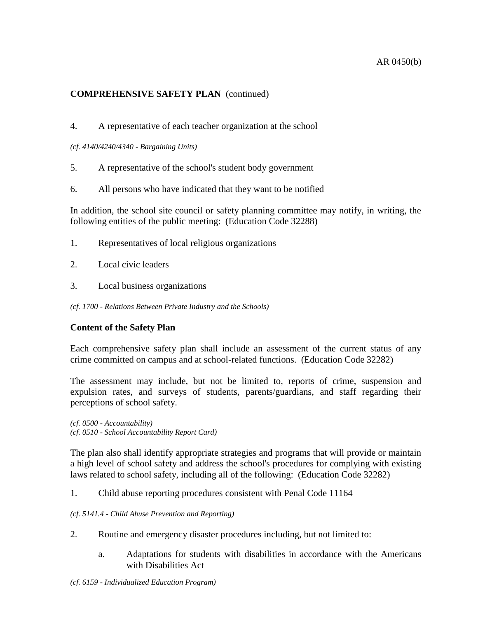4. A representative of each teacher organization at the school

*(cf. 4140/4240/4340 - Bargaining Units)*

- 5. A representative of the school's student body government
- 6. All persons who have indicated that they want to be notified

In addition, the school site council or safety planning committee may notify, in writing, the following entities of the public meeting: (Education Code 32288)

- 1. Representatives of local religious organizations
- 2. Local civic leaders
- 3. Local business organizations
- *(cf. 1700 - Relations Between Private Industry and the Schools)*

## **Content of the Safety Plan**

Each comprehensive safety plan shall include an assessment of the current status of any crime committed on campus and at school-related functions. (Education Code 32282)

The assessment may include, but not be limited to, reports of crime, suspension and expulsion rates, and surveys of students, parents/guardians, and staff regarding their perceptions of school safety.

*(cf. 0500 - Accountability) (cf. 0510 - School Accountability Report Card)*

The plan also shall identify appropriate strategies and programs that will provide or maintain a high level of school safety and address the school's procedures for complying with existing laws related to school safety, including all of the following: (Education Code 32282)

1. Child abuse reporting procedures consistent with Penal Code 11164

*(cf. 5141.4 - Child Abuse Prevention and Reporting)*

- 2. Routine and emergency disaster procedures including, but not limited to:
	- a. Adaptations for students with disabilities in accordance with the Americans with Disabilities Act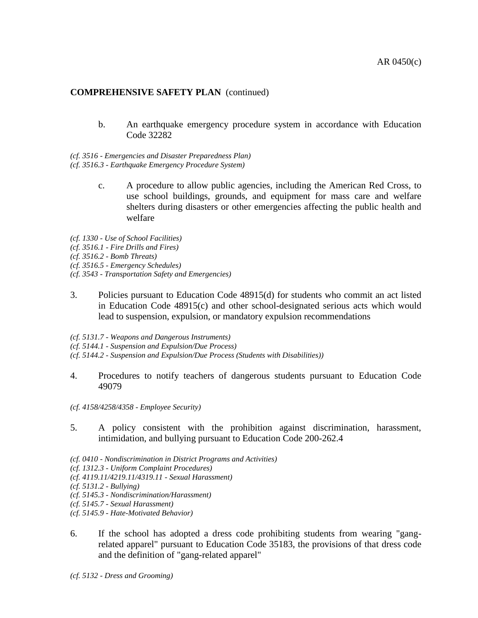- b. An earthquake emergency procedure system in accordance with Education Code 32282
- *(cf. 3516 - Emergencies and Disaster Preparedness Plan)*
- *(cf. 3516.3 - Earthquake Emergency Procedure System)*
	- c. A procedure to allow public agencies, including the American Red Cross, to use school buildings, grounds, and equipment for mass care and welfare shelters during disasters or other emergencies affecting the public health and welfare
- *(cf. 1330 - Use of School Facilities)*
- *(cf. 3516.1 - Fire Drills and Fires)*
- *(cf. 3516.2 - Bomb Threats)*
- *(cf. 3516.5 - Emergency Schedules)*
- *(cf. 3543 - Transportation Safety and Emergencies)*
- 3. Policies pursuant to Education Code 48915(d) for students who commit an act listed in Education Code 48915(c) and other school-designated serious acts which would lead to suspension, expulsion, or mandatory expulsion recommendations
- *(cf. 5131.7 - Weapons and Dangerous Instruments)*
- *(cf. 5144.1 - Suspension and Expulsion/Due Process)*
- *(cf. 5144.2 - Suspension and Expulsion/Due Process (Students with Disabilities))*
- 4. Procedures to notify teachers of dangerous students pursuant to Education Code 49079
- *(cf. 4158/4258/4358 - Employee Security)*
- 5. A policy consistent with the prohibition against discrimination, harassment, intimidation, and bullying pursuant to Education Code 200-262.4
- *(cf. 0410 - Nondiscrimination in District Programs and Activities)*
- *(cf. 1312.3 - Uniform Complaint Procedures)*
- *(cf. 4119.11/4219.11/4319.11 - Sexual Harassment)*
- *(cf. 5131.2 - Bullying)*
- *(cf. 5145.3 - Nondiscrimination/Harassment)*
- *(cf. 5145.7 - Sexual Harassment)*
- *(cf. 5145.9 - Hate-Motivated Behavior)*
- 6. If the school has adopted a dress code prohibiting students from wearing "gangrelated apparel" pursuant to Education Code 35183, the provisions of that dress code and the definition of "gang-related apparel"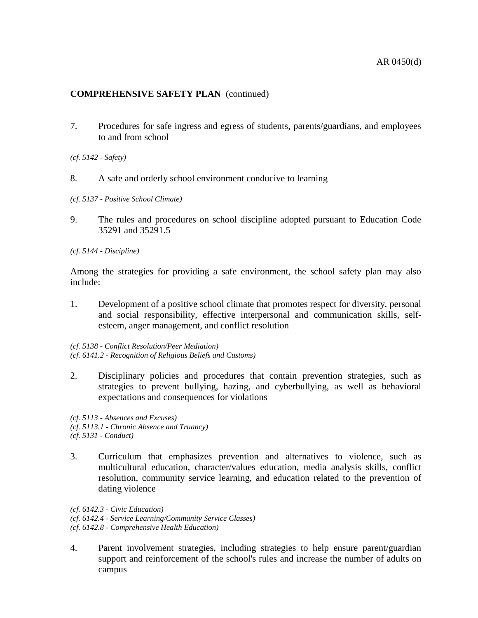7. Procedures for safe ingress and egress of students, parents/guardians, and employees to and from school

*(cf. 5142 - Safety)*

- 8. A safe and orderly school environment conducive to learning
- *(cf. 5137 - Positive School Climate)*
- 9. The rules and procedures on school discipline adopted pursuant to Education Code 35291 and 35291.5

*(cf. 5144 - Discipline)*

Among the strategies for providing a safe environment, the school safety plan may also include:

1. Development of a positive school climate that promotes respect for diversity, personal and social responsibility, effective interpersonal and communication skills, selfesteem, anger management, and conflict resolution

*(cf. 5138 - Conflict Resolution/Peer Mediation) (cf. 6141.2 - Recognition of Religious Beliefs and Customs)*

2. Disciplinary policies and procedures that contain prevention strategies, such as strategies to prevent bullying, hazing, and cyberbullying, as well as behavioral expectations and consequences for violations

*(cf. 5113 - Absences and Excuses) (cf. 5113.1 - Chronic Absence and Truancy) (cf. 5131 - Conduct)*

3. Curriculum that emphasizes prevention and alternatives to violence, such as multicultural education, character/values education, media analysis skills, conflict resolution, community service learning, and education related to the prevention of dating violence

*(cf. 6142.3 - Civic Education) (cf. 6142.4 - Service Learning/Community Service Classes) (cf. 6142.8 - Comprehensive Health Education)*

4. Parent involvement strategies, including strategies to help ensure parent/guardian support and reinforcement of the school's rules and increase the number of adults on campus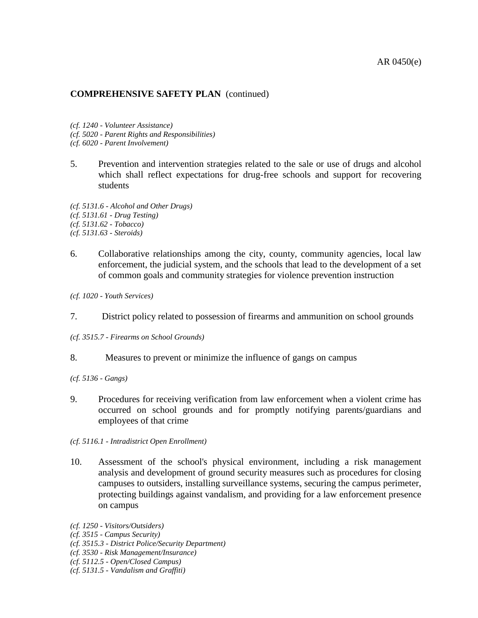- *(cf. 1240 - Volunteer Assistance)*
- *(cf. 5020 - Parent Rights and Responsibilities)*
- *(cf. 6020 - Parent Involvement)*
- 5. Prevention and intervention strategies related to the sale or use of drugs and alcohol which shall reflect expectations for drug-free schools and support for recovering students

*(cf. 5131.6 - Alcohol and Other Drugs) (cf. 5131.61 - Drug Testing) (cf. 5131.62 - Tobacco) (cf. 5131.63 - Steroids)*

6. Collaborative relationships among the city, county, community agencies, local law enforcement, the judicial system, and the schools that lead to the development of a set of common goals and community strategies for violence prevention instruction

*(cf. 1020 - Youth Services)*

- 7. District policy related to possession of firearms and ammunition on school grounds
- *(cf. 3515.7 - Firearms on School Grounds)*
- 8. Measures to prevent or minimize the influence of gangs on campus
- *(cf. 5136 - Gangs)*
- 9. Procedures for receiving verification from law enforcement when a violent crime has occurred on school grounds and for promptly notifying parents/guardians and employees of that crime
- *(cf. 5116.1 - Intradistrict Open Enrollment)*
- 10. Assessment of the school's physical environment, including a risk management analysis and development of ground security measures such as procedures for closing campuses to outsiders, installing surveillance systems, securing the campus perimeter, protecting buildings against vandalism, and providing for a law enforcement presence on campus
- *(cf. 1250 - Visitors/Outsiders)*
- *(cf. 3515 - Campus Security)*
- *(cf. 3515.3 - District Police/Security Department)*
- *(cf. 3530 - Risk Management/Insurance)*
- *(cf. 5112.5 - Open/Closed Campus)*
- *(cf. 5131.5 - Vandalism and Graffiti)*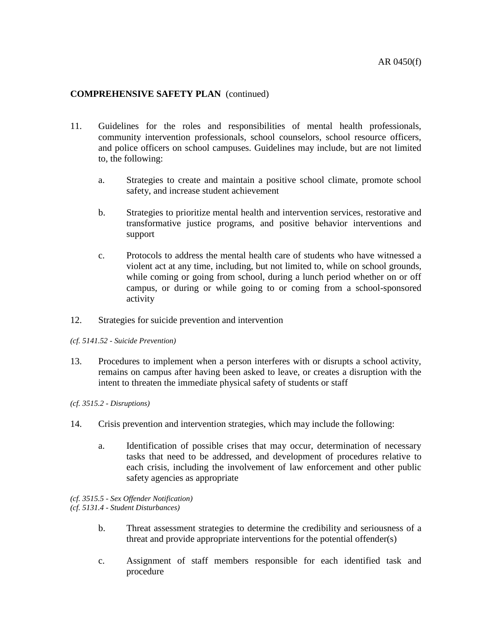- 11. Guidelines for the roles and responsibilities of mental health professionals, community intervention professionals, school counselors, school resource officers, and police officers on school campuses. Guidelines may include, but are not limited to, the following:
	- a. Strategies to create and maintain a positive school climate, promote school safety, and increase student achievement
	- b. Strategies to prioritize mental health and intervention services, restorative and transformative justice programs, and positive behavior interventions and support
	- c. Protocols to address the mental health care of students who have witnessed a violent act at any time, including, but not limited to, while on school grounds, while coming or going from school, during a lunch period whether on or off campus, or during or while going to or coming from a school-sponsored activity
- 12. Strategies for suicide prevention and intervention
- *(cf. 5141.52 - Suicide Prevention)*
- 13. Procedures to implement when a person interferes with or disrupts a school activity, remains on campus after having been asked to leave, or creates a disruption with the intent to threaten the immediate physical safety of students or staff
- *(cf. 3515.2 - Disruptions)*
- 14. Crisis prevention and intervention strategies, which may include the following:
	- a. Identification of possible crises that may occur, determination of necessary tasks that need to be addressed, and development of procedures relative to each crisis, including the involvement of law enforcement and other public safety agencies as appropriate

# *(cf. 3515.5 - Sex Offender Notification)*

*(cf. 5131.4 - Student Disturbances)*

- b. Threat assessment strategies to determine the credibility and seriousness of a threat and provide appropriate interventions for the potential offender(s)
- c. Assignment of staff members responsible for each identified task and procedure